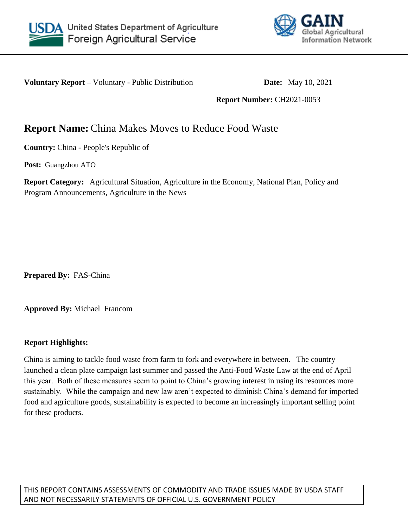



**Voluntary Report –** Voluntary - Public Distribution **Date:** May 10, 2021

**Report Number:** CH2021-0053

# **Report Name:** China Makes Moves to Reduce Food Waste

**Country:** China - People's Republic of

**Post:** Guangzhou ATO

**Report Category:** Agricultural Situation, Agriculture in the Economy, National Plan, Policy and Program Announcements, Agriculture in the News

**Prepared By:** FAS-China

**Approved By:** Michael Francom

#### **Report Highlights:**

China is aiming to tackle food waste from farm to fork and everywhere in between. The country launched a clean plate campaign last summer and passed the Anti-Food Waste Law at the end of April this year. Both of these measures seem to point to China's growing interest in using its resources more sustainably. While the campaign and new law aren't expected to diminish China's demand for imported food and agriculture goods, sustainability is expected to become an increasingly important selling point for these products.

THIS REPORT CONTAINS ASSESSMENTS OF COMMODITY AND TRADE ISSUES MADE BY USDA STAFF AND NOT NECESSARILY STATEMENTS OF OFFICIAL U.S. GOVERNMENT POLICY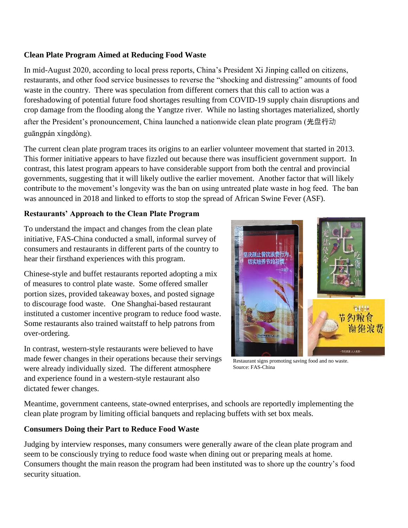### **Clean Plate Program Aimed at Reducing Food Waste**

In mid-August 2020, according to local press reports, China's President Xi Jinping called on citizens, restaurants, and other food service businesses to reverse the "shocking and distressing" amounts of food waste in the country. There was speculation from different corners that this call to action was a foreshadowing of potential future food shortages resulting from COVID-19 supply chain disruptions and crop damage from the flooding along the Yangtze river. While no lasting shortages materialized, shortly after the President's pronouncement, China launched a nationwide clean plate program (光盘行动 guāngpán xíngdòng).

The current clean plate program traces its origins to an earlier volunteer movement that started in 2013. This former initiative appears to have fizzled out because there was insufficient government support. In contrast, this latest program appears to have considerable support from both the central and provincial governments, suggesting that it will likely outlive the earlier movement. Another factor that will likely contribute to the movement's longevity was the ban on using untreated plate waste in hog feed. The ban was announced in 2018 and linked to efforts to stop the spread of African Swine Fever (ASF).

## **Restaurants' Approach to the Clean Plate Program**

To understand the impact and changes from the clean plate initiative, FAS-China conducted a small, informal survey of consumers and restaurants in different parts of the country to hear their firsthand experiences with this program.

Chinese-style and buffet restaurants reported adopting a mix of measures to control plate waste. Some offered smaller portion sizes, provided takeaway boxes, and posted signage to discourage food waste. One Shanghai-based restaurant instituted a customer incentive program to reduce food waste. Some restaurants also trained waitstaff to help patrons from over-ordering.

In contrast, western-style restaurants were believed to have made fewer changes in their operations because their servings were already individually sized. The different atmosphere and experience found in a western-style restaurant also dictated fewer changes.



Restaurant signs promoting saving food and no waste. Source: FAS-China

Meantime, government canteens, state-owned enterprises, and schools are reportedly implementing the clean plate program by limiting official banquets and replacing buffets with set box meals.

#### **Consumers Doing their Part to Reduce Food Waste**

Judging by interview responses, many consumers were generally aware of the clean plate program and seem to be consciously trying to reduce food waste when dining out or preparing meals at home. Consumers thought the main reason the program had been instituted was to shore up the country's food security situation.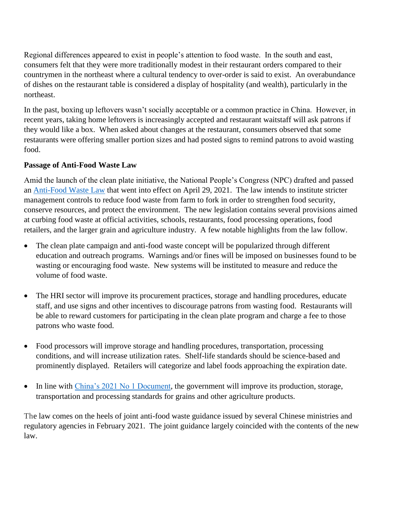Regional differences appeared to exist in people's attention to food waste. In the south and east, consumers felt that they were more traditionally modest in their restaurant orders compared to their countrymen in the northeast where a cultural tendency to over-order is said to exist. An overabundance of dishes on the restaurant table is considered a display of hospitality (and wealth), particularly in the northeast.

In the past, boxing up leftovers wasn't socially acceptable or a common practice in China. However, in recent years, taking home leftovers is increasingly accepted and restaurant waitstaff will ask patrons if they would like a box. When asked about changes at the restaurant, consumers observed that some restaurants were offering smaller portion sizes and had posted signs to remind patrons to avoid wasting food.

#### **Passage of Anti-Food Waste Law**

Amid the launch of the clean plate initiative, the National People's Congress (NPC) drafted and passed an [Anti-Food Waste Law](https://gcc02.safelinks.protection.outlook.com/?url=https%3A%2F%2Fmp.weixin.qq.com%2Fs%2FXsRXvPINrvbb6d-Ate9Wxw&data=04%7C01%7CFrancomM%40state.gov%7C4234f65f6c8744b51f5108d90c36a41e%7C66cf50745afe48d1a691a12b2121f44b%7C0%7C0%7C637554251080815740%7CUnknown%7CTWFpbGZsb3d8eyJWIjoiMC4wLjAwMDAiLCJQIjoiV2luMzIiLCJBTiI6Ik1haWwiLCJXVCI6Mn0%3D%7C1000&sdata=bXel%2FUgZbaRdruGIby9AFCYLg2W2DynV86RmB%2Fki4n0%3D&reserved=0) that went into effect on April 29, 2021. The law intends to institute stricter management controls to reduce food waste from farm to fork in order to strengthen food security, conserve resources, and protect the environment. The new legislation contains several provisions aimed at curbing food waste at official activities, schools, restaurants, food processing operations, food retailers, and the larger grain and agriculture industry. A few notable highlights from the law follow.

- The clean plate campaign and anti-food waste concept will be popularized through different education and outreach programs. Warnings and/or fines will be imposed on businesses found to be wasting or encouraging food waste. New systems will be instituted to measure and reduce the volume of food waste.
- The HRI sector will improve its procurement practices, storage and handling procedures, educate staff, and use signs and other incentives to discourage patrons from wasting food. Restaurants will be able to reward customers for participating in the clean plate program and charge a fee to those patrons who waste food.
- Food processors will improve storage and handling procedures, transportation, processing conditions, and will increase utilization rates. Shelf-life standards should be science-based and prominently displayed. Retailers will categorize and label foods approaching the expiration date.
- $\bullet$  In line with [China's 2021 No 1 Document,](https://apps.fas.usda.gov/newgainapi/api/Report/DownloadReportByFileName?fileName=China%202021%20No%201%20Document%20Underscores%20Seed%20Genetics%20Stable%20Grain%20and%20Pork%20Supplies%20for%20Food%20Security_Beijing_China%20-%20People%27s%20Republic%20of_03-31-2021) the government will improve its production, storage, transportation and processing standards for grains and other agriculture products.

The law comes on the heels of joint anti-food waste guidance issued by several Chinese ministries and regulatory agencies in February 2021. The joint guidance largely coincided with the contents of the new law.